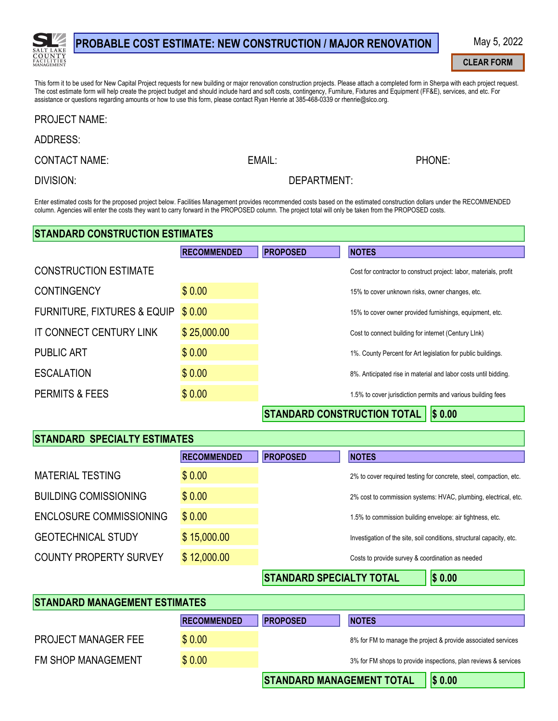

## PROBABLE COST ESTIMATE: NEW CONSTRUCTION / MAJOR RENOVATION

May 5, 2022

#### **CLEAR FORM**

PHONE:

This form it to be used for New Capital Project requests for new building or major renovation construction projects. Please attach a completed form in Sherpa with each project request. The cost estimate form will help create the project budget and should include hard and soft costs, contingency, Furniture, Fixtures and Equipment (FF&E), services, and etc. For assistance or questions regarding amounts or how to use this form, please contact Ryan Henrie at 385-468-0339 or rhenrie@slco.org.

#### **PROJECT NAME:**

### **ADDRESS:**

**CONTACT NAME:** 

EMAIL:

**DIVISION:** 

### DEPARTMENT:

Enter estimated costs for the proposed project below. Facilities Management provides recommended costs based on the estimated construction dollars under the RECOMMENDED column. Agencies will enter the costs they want to carry forward in the PROPOSED column. The project total will only be taken from the PROPOSED costs.

| <b>STANDARD CONSTRUCTION ESTIMATES</b> |                    |                                    |                                                                    |  |
|----------------------------------------|--------------------|------------------------------------|--------------------------------------------------------------------|--|
|                                        | <b>RECOMMENDED</b> | <b>PROPOSED</b>                    | <b>NOTES</b>                                                       |  |
| <b>CONSTRUCTION ESTIMATE</b>           |                    |                                    | Cost for contractor to construct project: labor, materials, profit |  |
| <b>CONTINGENCY</b>                     | \$0.00             |                                    | 15% to cover unknown risks, owner changes, etc.                    |  |
| <b>FURNITURE, FIXTURES &amp; EQUIP</b> | \$0.00             |                                    | 15% to cover owner provided furnishings, equipment, etc.           |  |
| <b>IT CONNECT CENTURY LINK</b>         | \$25,000.00        |                                    | Cost to connect building for internet (Century LInk)               |  |
| <b>PUBLIC ART</b>                      | \$0.00             |                                    | 1%. County Percent for Art legislation for public buildings.       |  |
| <b>ESCALATION</b>                      | \$0.00             |                                    | 8%. Anticipated rise in material and labor costs until bidding.    |  |
| <b>PERMITS &amp; FEES</b>              | \$0.00             |                                    | 1.5% to cover jurisdiction permits and various building fees       |  |
|                                        |                    | <b>STANDARD CONSTRUCTION TOTAL</b> | $S$ 0.00                                                           |  |

### **STANDARD SPECIALTY ESTIMATES**

|                               | <b>RECOMMENDED</b> | <b>PROPOSED</b> | <b>NOTES</b>                                                          |
|-------------------------------|--------------------|-----------------|-----------------------------------------------------------------------|
| <b>MATERIAL TESTING</b>       | \$0.00             |                 | 2% to cover required testing for concrete, steel, compaction, etc.    |
| <b>BUILDING COMISSIONING</b>  | \$0.00             |                 | 2% cost to commission systems: HVAC, plumbing, electrical, etc.       |
| ENCLOSURE COMMISSIONING       | \$0.00             |                 | 1.5% to commission building envelope: air tightness, etc.             |
| <b>GEOTECHNICAL STUDY</b>     | \$15,000.00        |                 | Investigation of the site, soil conditions, structural capacity, etc. |
| <b>COUNTY PROPERTY SURVEY</b> | \$12,000.00        |                 | Costs to provide survey & coordination as needed                      |
|                               |                    |                 | 120 A 220<br>- - - - <del>- - - - - -</del> - -                       |

**STANDARD SPECIALTY TOTAL** 

 $|S 0.00$ 

| <b>STANDARD MANAGEMENT ESTIMATES</b> |                    |                                  |                                                                 |                                                               |
|--------------------------------------|--------------------|----------------------------------|-----------------------------------------------------------------|---------------------------------------------------------------|
|                                      | <b>RECOMMENDED</b> | <b>PROPOSED</b>                  | <b>NOTES</b>                                                    |                                                               |
| <b>PROJECT MANAGER FEE</b>           | \$0.00             |                                  |                                                                 | 8% for FM to manage the project & provide associated services |
| <b>FM SHOP MANAGEMENT</b>            | \$0.00             |                                  | 3% for FM shops to provide inspections, plan reviews & services |                                                               |
|                                      |                    | <b>STANDARD MANAGEMENT TOTAL</b> |                                                                 | \$0.00                                                        |